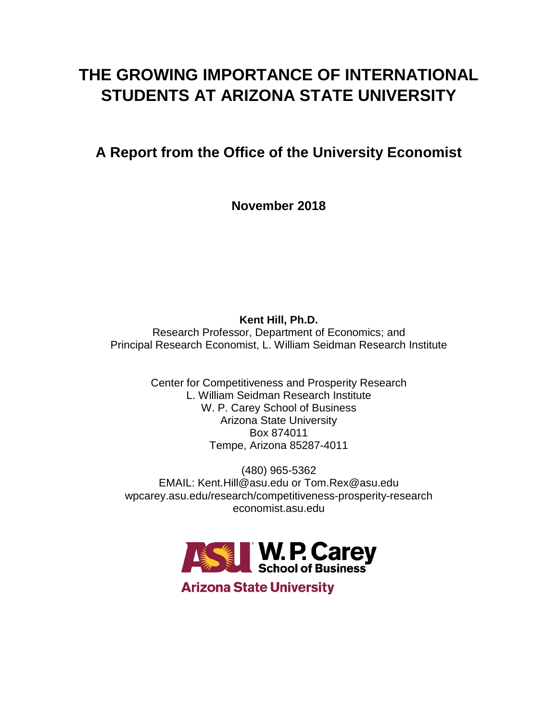## **THE GROWING IMPORTANCE OF INTERNATIONAL STUDENTS AT ARIZONA STATE UNIVERSITY**

## **A Report from the Office of the University Economist**

**November 2018**

**Kent Hill, Ph.D.** Research Professor, Department of Economics; and Principal Research Economist, L. William Seidman Research Institute

> Center for Competitiveness and Prosperity Research L. William Seidman Research Institute W. P. Carey School of Business Arizona State University Box 874011 Tempe, Arizona 85287-4011

(480) 965-5362 EMAIL: Kent.Hill@asu.edu or Tom.Rex@asu.edu wpcarey.asu.edu/research/competitiveness-prosperity-research economist.asu.edu



**Arizona State University**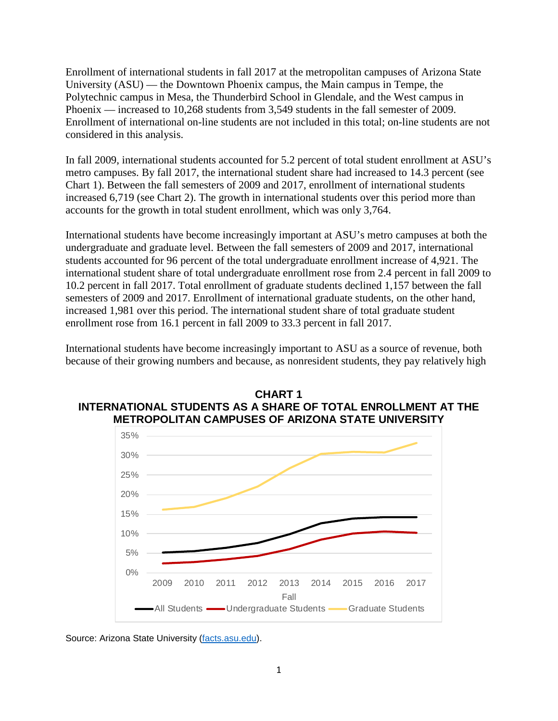Enrollment of international students in fall 2017 at the metropolitan campuses of Arizona State University (ASU) — the Downtown Phoenix campus, the Main campus in Tempe, the Polytechnic campus in Mesa, the Thunderbird School in Glendale, and the West campus in Phoenix — increased to 10,268 students from 3,549 students in the fall semester of 2009. Enrollment of international on-line students are not included in this total; on-line students are not considered in this analysis.

In fall 2009, international students accounted for 5.2 percent of total student enrollment at ASU's metro campuses. By fall 2017, the international student share had increased to 14.3 percent (see Chart 1). Between the fall semesters of 2009 and 2017, enrollment of international students increased 6,719 (see Chart 2). The growth in international students over this period more than accounts for the growth in total student enrollment, which was only 3,764.

International students have become increasingly important at ASU's metro campuses at both the undergraduate and graduate level. Between the fall semesters of 2009 and 2017, international students accounted for 96 percent of the total undergraduate enrollment increase of 4,921. The international student share of total undergraduate enrollment rose from 2.4 percent in fall 2009 to 10.2 percent in fall 2017. Total enrollment of graduate students declined 1,157 between the fall semesters of 2009 and 2017. Enrollment of international graduate students, on the other hand, increased 1,981 over this period. The international student share of total graduate student enrollment rose from 16.1 percent in fall 2009 to 33.3 percent in fall 2017.

International students have become increasingly important to ASU as a source of revenue, both because of their growing numbers and because, as nonresident students, they pay relatively high





Source: Arizona State University [\(facts.asu.edu\)](https://facts.asu.edu/Pages/Default.aspx).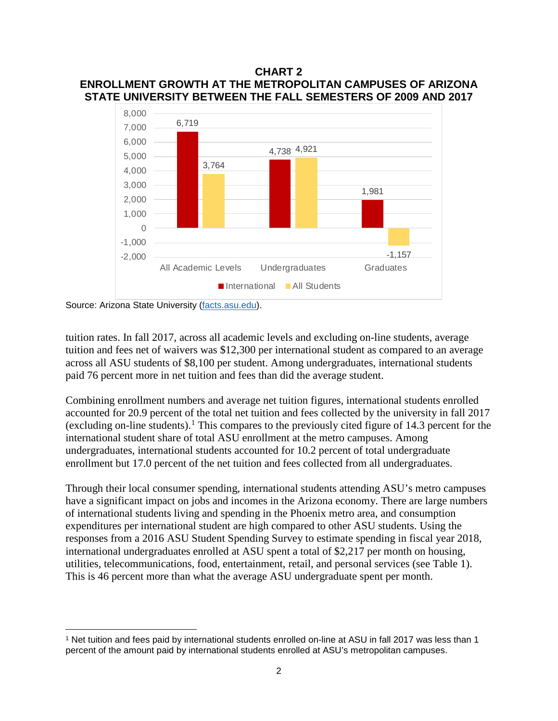## **CHART 2 ENROLLMENT GROWTH AT THE METROPOLITAN CAMPUSES OF ARIZONA STATE UNIVERSITY BETWEEN THE FALL SEMESTERS OF 2009 AND 2017**



Source: Arizona State University [\(facts.asu.edu\)](https://facts.asu.edu/Pages/Default.aspx).

 $\overline{\phantom{a}}$ 

tuition rates. In fall 2017, across all academic levels and excluding on-line students, average tuition and fees net of waivers was \$12,300 per international student as compared to an average across all ASU students of \$8,100 per student. Among undergraduates, international students paid 76 percent more in net tuition and fees than did the average student.

Combining enrollment numbers and average net tuition figures, international students enrolled accounted for 20.9 percent of the total net tuition and fees collected by the university in fall 2017 (excluding on-line students). [1](#page-2-0) This compares to the previously cited figure of 14.3 percent for the international student share of total ASU enrollment at the metro campuses. Among undergraduates, international students accounted for 10.2 percent of total undergraduate enrollment but 17.0 percent of the net tuition and fees collected from all undergraduates.

Through their local consumer spending, international students attending ASU's metro campuses have a significant impact on jobs and incomes in the Arizona economy. There are large numbers of international students living and spending in the Phoenix metro area, and consumption expenditures per international student are high compared to other ASU students. Using the responses from a 2016 ASU Student Spending Survey to estimate spending in fiscal year 2018, international undergraduates enrolled at ASU spent a total of \$2,217 per month on housing, utilities, telecommunications, food, entertainment, retail, and personal services (see Table 1). This is 46 percent more than what the average ASU undergraduate spent per month.

<span id="page-2-0"></span><sup>1</sup> Net tuition and fees paid by international students enrolled on-line at ASU in fall 2017 was less than 1 percent of the amount paid by international students enrolled at ASU's metropolitan campuses.